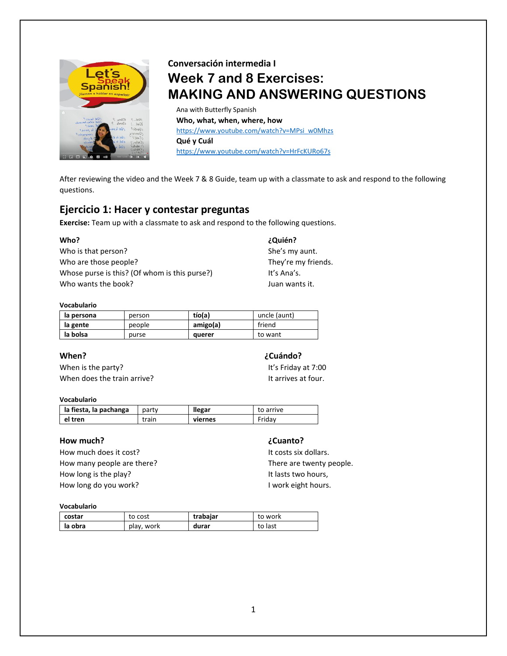

# **Conversación intermedia I Week 7 and 8 Exercises: MAKING AND ANSWERING QUESTIONS**

Ana with Butterfly Spanish **Who, what, when, where, how** [https://www.youtube.com/watch?v=MPsi\\_w0Mhzs](https://www.youtube.com/watch?v=MPsi_w0Mhzs)  **Qué y Cuál** <https://www.youtube.com/watch?v=HrFcKURo67s>

After reviewing the video and the Week 7 & 8 Guide, team up with a classmate to ask and respond to the following questions.

# **Ejercicio 1: Hacer y contestar preguntas**

**Exercise:** Team up with a classmate to ask and respond to the following questions.

| Who?                                          | ¿Quién?             |
|-----------------------------------------------|---------------------|
| Who is that person?                           | She's my aunt.      |
| Who are those people?                         | They're my friends. |
| Whose purse is this? (Of whom is this purse?) | It's Ana's.         |
| Who wants the book?                           | Juan wants it.      |

### **Vocabulario**

| la persona | person | tío(a)   | uncle (aunt) |
|------------|--------|----------|--------------|
| la gente   | people | amigo(a) | friend       |
| la bolsa   | purse  | querer   | to want      |

# **When? ¿Cuándo?**

When is the party? It's Friday at 7:00 When does the train arrive?<br>
It arrives at four.

# **Vocabulario**

| la fiesta, la pachanga | party | llegar  | to arrive |
|------------------------|-------|---------|-----------|
| el tren                | train | viernes | Fridav    |

# **How much? ¿Cuanto?**

How much does it cost? It costs six dollars. How many people are there? There are twenty people. How long is the play? It lasts two hours, How long do you work? I work eight hours.

### **Vocabulario**

| costar  | to cost    | trabajar | to work |
|---------|------------|----------|---------|
| la obra | play, work | durar    | to last |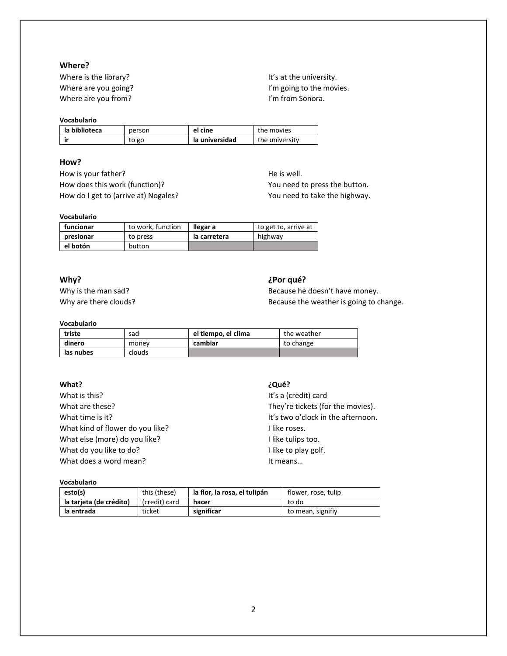# **Where?**

Where is the library? It's at the university. Where are you from? In the same state of the state of the V m from Sonora.

### **Vocabulario**

| la biblioteca | person | el cine        | the movies     |
|---------------|--------|----------------|----------------|
| ir            | to go  | la universidad | the university |

# **How?**

How is your father? He is well. How does this work (function)? The Matter of the You need to press the button. How do I get to (arrive at) Nogales? The Manus of the Mighway.

### **Vocabulario**

| funcionar | to work, function | llegar a     | to get to, arrive at |
|-----------|-------------------|--------------|----------------------|
| presionar | to press          | la carretera | highway              |
| el botón  | button            |              |                      |

# **Why? ¿Por qué?**

Why is the man sad? Because he doesn't have money. Why are there clouds? **Because the weather is going to change.** Because the weather is going to change.

# **Vocabulario**

| triste    | sad    | el tiempo, el clima | the weather |
|-----------|--------|---------------------|-------------|
| dinero    | money  | cambiar             | to change   |
| las nubes | clouds |                     |             |

# **What? ¿Qué?**

What is this? It's a (credit) card What are these? They're tickets (for the movies). What kind of flower do you like? I like roses. What else (more) do you like? I like tulips too. What do you like to do? I like to play golf. What does a word mean? It means...

What time is it? It's two o'clock in the afternoon.

## **Vocabulario**

| esto(s)                 | this (these)  | la flor, la rosa, el tulipán | flower, rose, tulip |
|-------------------------|---------------|------------------------------|---------------------|
| la tarieta (de crédito) | (credit) card | hacer                        | to do               |
| la entrada              | ticket        | significar                   | to mean, signifiy   |

Where are you going? It is a set of the movies. It is a set of the movies.